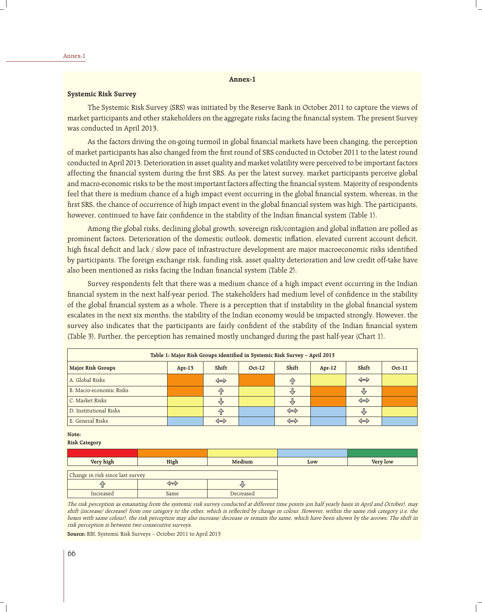## **Annex-1**

# **Systemic Risk Survey**

 The Systemic Risk Survey (SRS) was initiated by the Reserve Bank in October 2011 to capture the views of market participants and other stakeholders on the aggregate risks facing the financial system. The present Survey was conducted in April 2013.

As the factors driving the on-going turmoil in global financial markets have been changing, the perception of market participants has also changed from the first round of SRS conducted in October 2011 to the latest round conducted in April 2013. Deterioration in asset quality and market volatility were perceived to be important factors affecting the financial system during the first SRS. As per the latest survey, market participants perceive global and macro-economic risks to be the most important factors affecting the financial system. Majority of respondents feel that there is medium chance of a high impact event occurring in the global financial system, whereas, in the first SRS, the chance of occurrence of high impact event in the global financial system was high. The participants, however, continued to have fair confidence in the stability of the Indian financial system (Table 1).

Among the global risks, declining global growth, sovereign risk/contagion and global inflation are polled as prominent factors. Deterioration of the domestic outlook, domestic inflation, elevated current account deficit, high fiscal deficit and lack / slow pace of infrastructure development are major macroeconomic risks identified by participants. The foreign exchange risk, funding risk, asset quality deterioration and low credit off-take have also been mentioned as risks facing the Indian financial system (Table 2).

 Survey respondents felt that there was a medium chance of a high impact event occurring in the Indian financial system in the next half-year period. The stakeholders had medium level of confidence in the stability of the global financial system as a whole. There is a perception that if instability in the global financial system escalates in the next six months, the stability of the Indian economy would be impacted strongly. However, the survey also indicates that the participants are fairly confident of the stability of the Indian financial system (Table 3). Further, the perception has remained mostly unchanged during the past half-year (Chart 1).

| Table 1: Major Risk Groups identified in Systemic Risk Survey - April 2013                               |  |                   |  |                    |  |                   |  |
|----------------------------------------------------------------------------------------------------------|--|-------------------|--|--------------------|--|-------------------|--|
| Shift<br>Shift<br>Shift<br><b>Major Risk Groups</b><br><b>Oct-11</b><br>$Oct-12$<br>$Apr-13$<br>$Apr-12$ |  |                   |  |                    |  |                   |  |
| A. Global Risks                                                                                          |  | $\Leftrightarrow$ |  | $\left\{ \right\}$ |  | $\Leftrightarrow$ |  |
| B. Macro-economic Risks                                                                                  |  | 分                 |  | ₩                  |  |                   |  |
| C. Market Risks                                                                                          |  | ŲЧ,               |  | ₹                  |  | $\Leftrightarrow$ |  |
| D. Institutional Risks                                                                                   |  | $\bigcap$         |  | $\Leftrightarrow$  |  |                   |  |
| E. General Risks                                                                                         |  | $\Leftrightarrow$ |  | $\Leftrightarrow$  |  | $\Leftrightarrow$ |  |

#### **Note:**

## **Risk Category**

| Very high                        | High | Medium | Low | Very low |
|----------------------------------|------|--------|-----|----------|
| Change in risk since last survey |      |        |     |          |
|                                  | $-$  |        |     |          |

|                                                                                           | $\sim$      |           |  |  |  |
|-------------------------------------------------------------------------------------------|-------------|-----------|--|--|--|
| Increased                                                                                 | <b>Same</b> | Decreased |  |  |  |
| The side concertion of currenties from the contents side common canduated at different to |             |           |  |  |  |

The risk perception as emanating from the systemic risk survey conducted at different time points (on half yearly basis in April and October), may shift (increase/ decrease) from one category to the other, which is reflected by change in colour. However, within the same risk category (i.e. the boxes with same colour), the risk perception may also increase/ decrease or remain the same, which have been shown by the arrows. The shift in risk perception is between two consecutive surveys.

**Source:** RBI, Systemic Risk Surveys – October 2011 to April 2013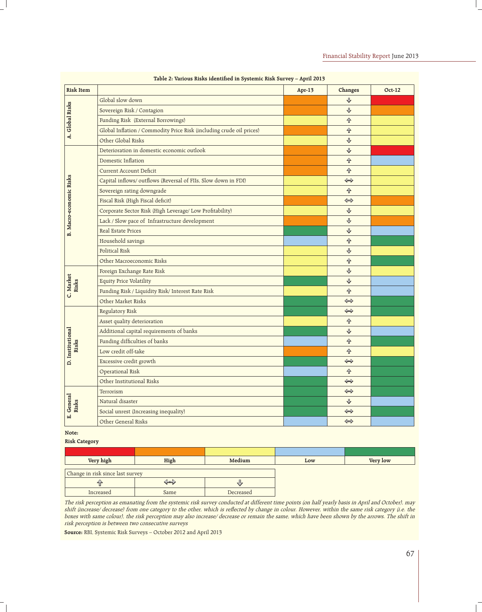|                         | radie 2: validus Kišks identinēti nī bystēmit Kišk burvēy – April 2019 |          |                   |               |
|-------------------------|------------------------------------------------------------------------|----------|-------------------|---------------|
| <b>Risk Item</b>        |                                                                        | $Apr-13$ | Changes           | <b>Oct-12</b> |
| A. Global Risks         | Global slow down                                                       |          | ⇩                 |               |
|                         | Sovereign Risk / Contagion                                             |          | ♦                 |               |
|                         | Funding Risk (External Borrowings)                                     |          | 仐                 |               |
|                         | Global Inflation / Commodity Price Risk (including crude oil prices)   |          | <b>介</b>          |               |
|                         | Other Global Risks                                                     |          | ⊕                 |               |
|                         | Deterioration in domestic economic outlook                             |          | ⊕                 |               |
|                         | Domestic Inflation                                                     |          | 仐                 |               |
|                         | <b>Current Account Deficit</b>                                         |          | 仐                 |               |
|                         | Capital inflows/outflows (Reversal of FIIs, Slow down in FDI)          |          | $\Leftrightarrow$ |               |
|                         | Sovereign rating downgrade                                             |          | 仐                 |               |
|                         | Fiscal Risk (High Fiscal deficit)                                      |          | $\Leftrightarrow$ |               |
|                         | Corporate Sector Risk (High Leverage/ Low Profitability)               |          | ⇩                 |               |
|                         | Lack / Slow pace of Infrastructure development                         |          | ⊕                 |               |
| B. Macro-economic Risks | <b>Real Estate Prices</b>                                              |          | ⊕                 |               |
|                         | Household savings                                                      |          | 仐                 |               |
|                         | Political Risk                                                         |          | ♦                 |               |
|                         | Other Macroeconomic Risks                                              |          | 仐                 |               |
|                         | Foreign Exchange Rate Risk                                             |          | ⊕                 |               |
|                         | <b>Equity Price Volatility</b>                                         |          | ⊕                 |               |
| C. Market<br>Risks      | Funding Risk / Liquidity Risk/ Interest Rate Risk                      |          | 仐                 |               |
|                         | Other Market Risks                                                     |          | $\Leftrightarrow$ |               |
|                         | Regulatory Risk                                                        |          | $\Leftrightarrow$ |               |
|                         | Asset quality deterioration                                            |          | 仝                 |               |
|                         | Additional capital requirements of banks                               |          | $\downarrow$      |               |
| Risks                   | Funding difficulties of banks                                          |          | 仐                 |               |
| D. Institutional        | Low credit off-take                                                    |          | 仐                 |               |
|                         | Excessive credit growth                                                |          | $\Leftrightarrow$ |               |
|                         | Operational Risk                                                       |          | 仐                 |               |
|                         | Other Institutional Risks                                              |          | $\Leftrightarrow$ |               |
|                         | Terrorism                                                              |          | $\Leftrightarrow$ |               |
|                         | Natural disaster                                                       |          | ⊕                 |               |
| E. General<br>Risks     | Social unrest (Increasing inequality)                                  |          | $\Leftrightarrow$ |               |
|                         | Other General Risks                                                    |          | $\Leftrightarrow$ |               |

## Table 2: Various Risks identified in Systemic Risk Survey - April 2013

## **Note:**

#### **Risk Category**

| Very high                        | High | Medium    | Low | Very low |
|----------------------------------|------|-----------|-----|----------|
| Change in risk since last survey |      |           |     |          |
|                                  | ᅩ    |           |     |          |
| Increased                        | Same | Decreased |     |          |

The risk perception as emanating from the systemic risk survey conducted at different time points (on half yearly basis in April and October), may shift (increase/ decrease) from one category to the other, which is reflected by change in colour. However, within the same risk category (i.e. the boxes with same colour), the risk perception may also increase/ decrease or remain the same, which have been shown by the arrows. The shift in risk perception is between two consecutive surveys

**Source:** RBI, Systemic Risk Surveys – October 2012 and April 2013